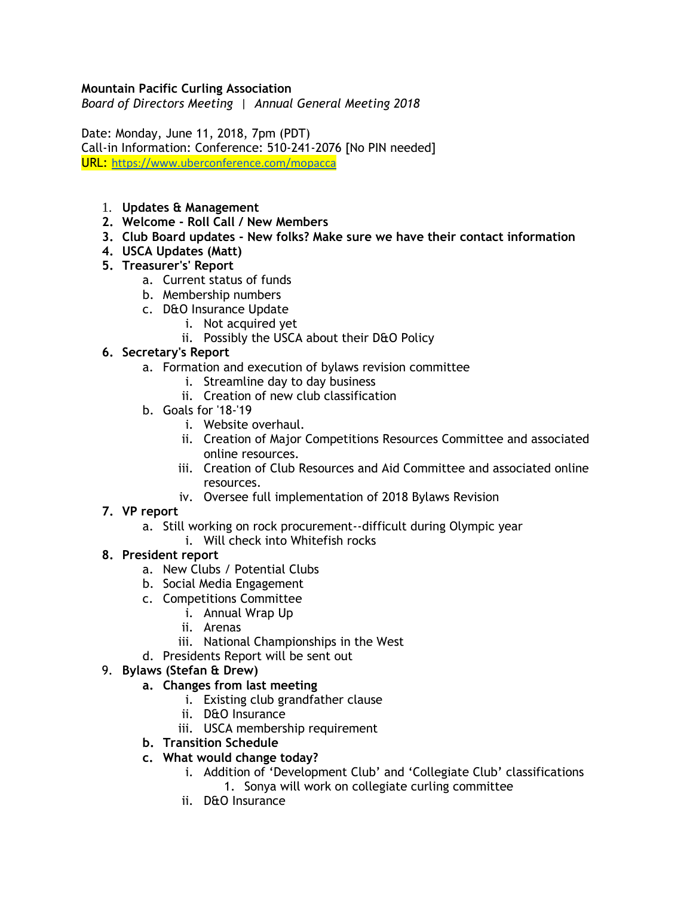### **Mountain Pacific Curling Association**

*Board of Directors Meeting | Annual General Meeting 2018*

Date: Monday, June 11, 2018, 7pm (PDT) Call-in Information: Conference: 510-241-2076 [No PIN needed] URL: <https://www.uberconference.com/mopacca>

- 1. **Updates & Management**
- **2. Welcome - Roll Call / New Members**
- **3. Club Board updates - New folks? Make sure we have their contact information**
- **4. USCA Updates (Matt)**
- **5. Treasurer's' Report**
	- a. Current status of funds
	- b. Membership numbers
	- c. D&O Insurance Update
		- i. Not acquired yet
		- ii. Possibly the USCA about their D&O Policy
- **6. Secretary's Report**
	- a. Formation and execution of bylaws revision committee
		- i. Streamline day to day business
		- ii. Creation of new club classification
	- b. Goals for '18-'19
		- i. Website overhaul.
		- ii. Creation of Major Competitions Resources Committee and associated online resources.
		- iii. Creation of Club Resources and Aid Committee and associated online resources.
		- iv. Oversee full implementation of 2018 Bylaws Revision

### **7. VP report**

- a. Still working on rock procurement--difficult during Olympic year
	- i. Will check into Whitefish rocks

## **8. President report**

- a. New Clubs / Potential Clubs
- b. Social Media Engagement
- c. Competitions Committee
	- i. Annual Wrap Up
	- ii. Arenas
	- iii. National Championships in the West
- d. Presidents Report will be sent out

### 9. **Bylaws (Stefan & Drew)**

- **a. Changes from last meeting**
	- i. Existing club grandfather clause
	- ii. D&O Insurance
	- iii. USCA membership requirement
- **b. Transition Schedule**
- **c. What would change today?**
	- i. Addition of 'Development Club' and 'Collegiate Club' classifications 1. Sonya will work on collegiate curling committee
	- ii. D&O Insurance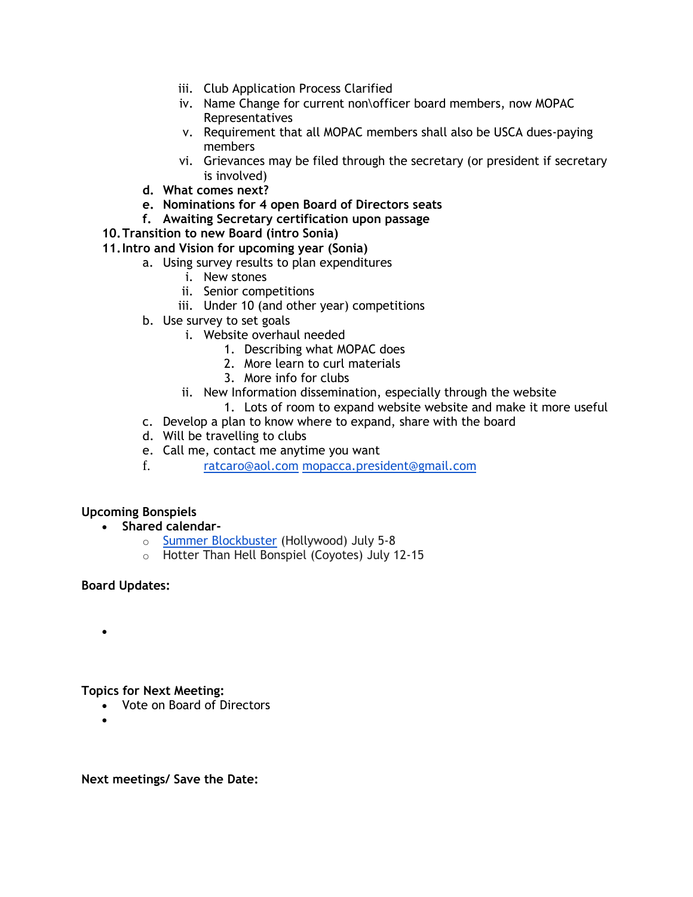- iii. Club Application Process Clarified
- iv. Name Change for current non\officer board members, now MOPAC Representatives
- v. Requirement that all MOPAC members shall also be USCA dues-paying members
- vi. Grievances may be filed through the secretary (or president if secretary is involved)
- **d. What comes next?**
- **e. Nominations for 4 open Board of Directors seats**
- **f. Awaiting Secretary certification upon passage**
- **10.Transition to new Board (intro Sonia)**
- **11.Intro and Vision for upcoming year (Sonia)**
	- a. Using survey results to plan expenditures
		- i. New stones
		- ii. Senior competitions
		- iii. Under 10 (and other year) competitions
	- b. Use survey to set goals
		- i. Website overhaul needed
			- 1. Describing what MOPAC does
			- 2. More learn to curl materials
			- 3. More info for clubs
			- ii. New Information dissemination, especially through the website
		- 1. Lots of room to expand website website and make it more useful
	- c. Develop a plan to know where to expand, share with the board
	- d. Will be travelling to clubs
	- e. Call me, contact me anytime you want
	- f. [ratcaro@aol.com](mailto:ratcaro@aol.com) [mopacca.president@gmail.com](mailto:mopacca.president@gmail.com)

### **Upcoming Bonspiels**

- **Shared calendar**
	- o [Summer Blockbuster](https://hollywoodcurling.wildapricot.org/event-2810346) (Hollywood) July 5-8
	- o Hotter Than Hell Bonspiel (Coyotes) July 12-15

### **Board Updates:**

•

### **Topics for Next Meeting:**

- Vote on Board of Directors
- •

**Next meetings/ Save the Date:**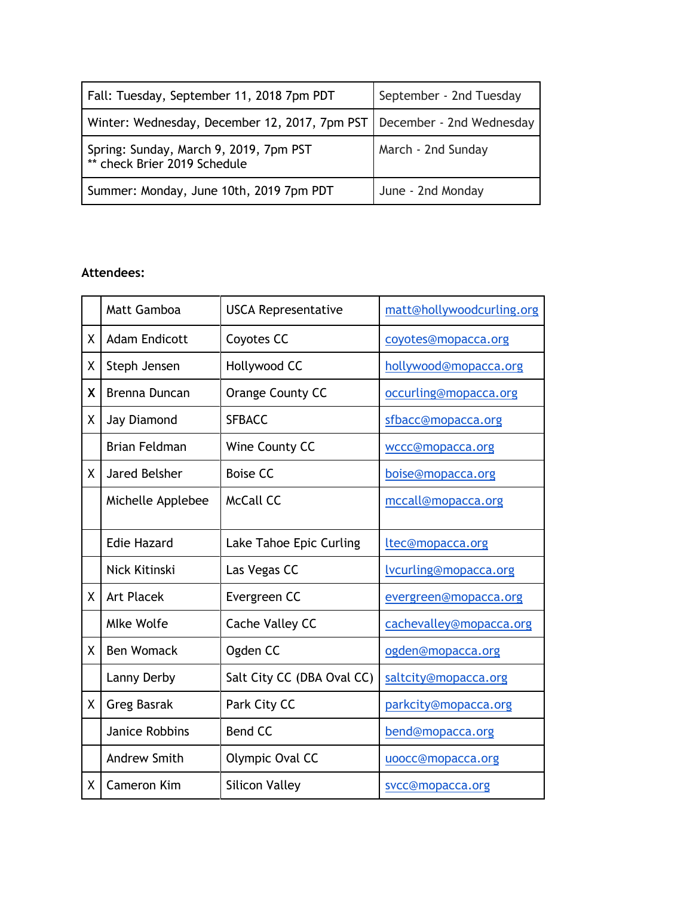| Fall: Tuesday, September 11, 2018 7pm PDT                                | September - 2nd Tuesday |
|--------------------------------------------------------------------------|-------------------------|
| Winter: Wednesday, December 12, 2017, 7pm PST   December - 2nd Wednesday |                         |
| Spring: Sunday, March 9, 2019, 7pm PST<br>** check Brier 2019 Schedule   | March - 2nd Sunday      |
| Summer: Monday, June 10th, 2019 7pm PDT                                  | June - 2nd Monday       |

## **Attendees:**

|    | Matt Gamboa           | <b>USCA Representative</b> | matt@hollywoodcurling.org    |
|----|-----------------------|----------------------------|------------------------------|
| X  | <b>Adam Endicott</b>  | Coyotes CC                 | coyotes@mopacca.org          |
| χ  | Steph Jensen          | Hollywood CC               | hollywood@mopacca.org        |
| X  | <b>Brenna Duncan</b>  | Orange County CC           | occurling@mopacca.org        |
| X  | Jay Diamond           | <b>SFBACC</b>              | sfbacc@mopacca.org           |
|    | <b>Brian Feldman</b>  | Wine County CC             | wccc@mopacca.org             |
| X. | <b>Jared Belsher</b>  | <b>Boise CC</b>            | boise@mopacca.org            |
|    | Michelle Applebee     | <b>McCall CC</b>           | mccall@mopacca.org           |
|    | <b>Edie Hazard</b>    | Lake Tahoe Epic Curling    | ltec@mopacca.org             |
|    | Nick Kitinski         | Las Vegas CC               | <u>lvcurling@mopacca.org</u> |
| X. | <b>Art Placek</b>     | Evergreen CC               | evergreen@mopacca.org        |
|    | <b>Mlke Wolfe</b>     | <b>Cache Valley CC</b>     | cachevalley@mopacca.org      |
| X. | <b>Ben Womack</b>     | Ogden CC                   | ogden@mopacca.org            |
|    | Lanny Derby           | Salt City CC (DBA Oval CC) | saltcity@mopacca.org         |
| Χ  | <b>Greg Basrak</b>    | Park City CC               | parkcity@mopacca.org         |
|    | <b>Janice Robbins</b> | <b>Bend CC</b>             | bend@mopacca.org             |
|    | <b>Andrew Smith</b>   | Olympic Oval CC            | uoocc@mopacca.org            |
| χ  | <b>Cameron Kim</b>    | <b>Silicon Valley</b>      | svcc@mopacca.org             |